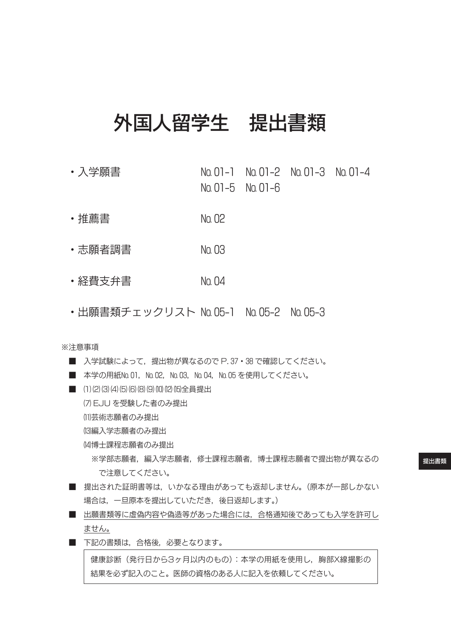# 外国人留学生 提出書類

- ・入学願書 № 01-1 № 01-2 № 01-3 № 01-4 № 01-5 № 01-6
- ・推薦書 № 02
- ・志願者調書 № 03
- ・経費支弁書 № 04
- ・出願書類チェックリスト № 05-1 № 05-2 № 05-3

※注意事項

■ 入学試験によって、提出物が異なるので P.37 · 38 で確認してください。 ■ 本学の用紙№ 01, № 02, № 03, № 04, № 05 を使用してください。 ■ (1)(2)(3)(4)(5)(6)(8)(9)(0)(12)(15)全員提出 ⑺ EJU を受験した者のみ提出 (1)芸術志願者のみ提出 (3)編入学志願者のみ提出 ⒁博士課程志願者のみ提出 ※学部志願者,編入学志願者,修士課程志願者,博士課程志願者で提出物が異なるの で注意してください。 ■ 提出された証明書等は, いかなる理由があっても返却しません。(原本が一部しかない 場合は、一旦原本を提出していただき、後日返却します。) ■ 出願書類等に虚偽内容や偽造等があった場合には、合格通知後であっても入学を許可し ません。 ■ 下記の書類は、合格後、必要となります。 健康診断(発行日から3ヶ月以内のもの):本学の用紙を使用し,胸部X線撮影の

結果を必ず記入のこと。医師の資格のある人に記入を依頼してください。

提出書類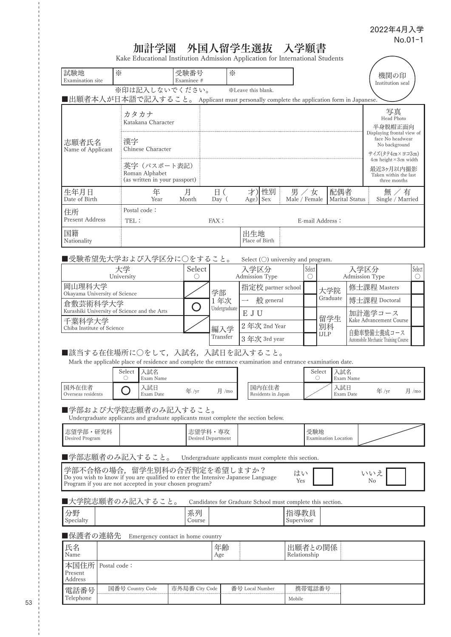$\overline{\phantom{0}}$ 

# 加計学園 外国人留学生選抜 入学願書

Kake Educational Institution Admission Application for International Students

| 試験地<br>Examination site                                                                                                                                                     | ☀                         |                                                                | 受験番号<br>Examinee # |                          | ☀                                                          |                        |                             |                                             |                      |                   |                             |                       | 機関の印<br>Institution seal                                                              |                      |
|-----------------------------------------------------------------------------------------------------------------------------------------------------------------------------|---------------------------|----------------------------------------------------------------|--------------------|--------------------------|------------------------------------------------------------|------------------------|-----------------------------|---------------------------------------------|----------------------|-------------------|-----------------------------|-----------------------|---------------------------------------------------------------------------------------|----------------------|
| ■出願者本人が日本語で記入すること。 Applicant must personally complete the application form in Japanese.                                                                                     |                           | ※印は記入しないでください。                                                 |                    |                          |                                                            | *Leave this blank.     |                             |                                             |                      |                   |                             |                       |                                                                                       |                      |
|                                                                                                                                                                             |                           | カタカナ<br>Katakana Character                                     |                    |                          |                                                            |                        |                             |                                             |                      |                   |                             |                       | 写真<br>Head Photo<br>半身脱帽正面向                                                           |                      |
| 志願者氏名<br>Name of Applicant                                                                                                                                                  | 漢字                        | Chinese Character                                              |                    |                          |                                                            |                        |                             |                                             |                      |                   |                             |                       | Displaying frontal view of<br>face No headwear<br>No background<br>サイズ(タテ4cm×ヨコ3cm)   |                      |
|                                                                                                                                                                             |                           | 英字(パスポート表記)<br>Roman Alphabet<br>(as written in your passport) |                    |                          |                                                            |                        |                             |                                             |                      |                   |                             |                       | $4cm$ height $\times$ 3cm width<br>最近3ヶ月以内撮影<br>Taken within the last<br>three months |                      |
| 生年月日<br>Date of Birth                                                                                                                                                       |                           | 年<br>Year                                                      | 月<br>Month         |                          | 日(<br>Day (                                                | 才)                     | 性別<br>$Age)$ Sex            | Male / Female                               | 男/女                  |                   | 配偶者                         | <b>Marital Status</b> | 無 / 有<br>Single / Married                                                             |                      |
| 住所                                                                                                                                                                          |                           | Postal code:                                                   |                    |                          |                                                            |                        |                             |                                             |                      |                   |                             |                       |                                                                                       |                      |
| <b>Present Address</b>                                                                                                                                                      | TEL:                      |                                                                |                    |                          | FAX:                                                       |                        |                             |                                             | E-mail Address:      |                   |                             |                       |                                                                                       |                      |
| 国籍<br>Nationality                                                                                                                                                           |                           |                                                                |                    |                          |                                                            | 出生地<br>Place of Birth  |                             |                                             |                      |                   |                             |                       |                                                                                       |                      |
| ■受験希望先大学および入学区分に○をすること。                                                                                                                                                     |                           |                                                                |                    |                          |                                                            |                        |                             | Select $(\bigcirc)$ university and program. |                      |                   |                             |                       |                                                                                       |                      |
|                                                                                                                                                                             | 大学<br>University          |                                                                |                    | Select<br>$\bigcirc$     |                                                            | 入学区分<br>Admission Type |                             |                                             | Select<br>$\bigcirc$ |                   |                             |                       | 入学区分<br>Admission Type                                                                | Select<br>$\bigcirc$ |
| 岡山理科大学                                                                                                                                                                      |                           |                                                                |                    |                          | 学部                                                         |                        |                             | 指定校 partner school                          |                      | 大学院               |                             |                       | 修士課程 Masters                                                                          |                      |
| Okayama University of Science<br>倉敷芸術科学大学                                                                                                                                   |                           |                                                                |                    | $\overline{\phantom{0}}$ | 1年次                                                        |                        | 般 general                   |                                             |                      | Graduate          |                             |                       | 博士課程 Doctoral                                                                         |                      |
| Kurashiki University of Science and the Arts<br>千葉科学大学                                                                                                                      |                           |                                                                |                    |                          | Undergraduate                                              | E J U                  |                             |                                             |                      | 留学生               |                             |                       | 加計進学コース<br>Kake Advancement Course                                                    |                      |
| Chiba Institute of Science                                                                                                                                                  |                           |                                                                |                    |                          | 編入学<br>Transfer                                            |                        | 2年次 2nd Year                |                                             |                      | 別科<br><b>IJLP</b> |                             |                       | 自動車整備士養成コース                                                                           |                      |
| ■該当する在住場所に○をして、入試名、入試日を記入すること。                                                                                                                                              |                           |                                                                |                    |                          |                                                            |                        | 3年次 3rd year                |                                             |                      |                   |                             |                       | Automobile Mechanic Training Course                                                   |                      |
| Mark the applicable place of residence and complete the entrance examination and entrance examination date.                                                                 |                           |                                                                |                    |                          |                                                            |                        |                             |                                             |                      |                   |                             |                       |                                                                                       |                      |
|                                                                                                                                                                             | Select<br>$\left(\right)$ | 入試名<br>Exam Name                                               |                    |                          |                                                            |                        |                             |                                             |                      | Select<br>O       | 入試名                         | Exam Name             |                                                                                       |                      |
| 国外在住者<br>Overseas residents                                                                                                                                                 |                           | 入試日<br>Exam Date                                               |                    | 年 /yr                    | 月 /mo                                                      |                        | 国内在住者<br>Residents in Japan |                                             |                      |                   | 入試日<br>Exam Date            |                       | 年/yr                                                                                  | 月 /mo                |
| ■学部および大学院志願者のみ記入すること。<br>Undergraduate applicants and graduate applicants must complete the section below.                                                                  |                           |                                                                |                    |                          |                                                            |                        |                             |                                             |                      |                   |                             |                       |                                                                                       |                      |
| 志望学部・研究科<br>Desired Program                                                                                                                                                 |                           |                                                                |                    |                          | 志望学科·専攻<br><b>Desired Department</b>                       |                        |                             |                                             | 受験地                  |                   | <b>Examination Location</b> |                       |                                                                                       |                      |
| ■学部志願者のみ記入すること。                                                                                                                                                             |                           |                                                                |                    |                          | Undergraduate applicants must complete this section.       |                        |                             |                                             |                      |                   |                             |                       |                                                                                       |                      |
| 学部不合格の場合、留学生別科の合否判定を希望しますか?<br>Do you wish to know if you are qualified to enter the Intensive Japanese Language<br>Program if you are not accepted in your chosen program? |                           |                                                                |                    |                          |                                                            |                        |                             | はい<br>Yes                                   |                      |                   |                             |                       | いいえ<br>No                                                                             |                      |
| ■大学院志願者のみ記入すること。                                                                                                                                                            |                           |                                                                |                    |                          | Candidates for Graduate School must complete this section. |                        |                             |                                             |                      |                   |                             |                       |                                                                                       |                      |
| 分野<br>Specialty                                                                                                                                                             |                           |                                                                |                    | 系列<br>Course             |                                                            |                        |                             | 指導教員<br>Supervisor                          |                      |                   |                             |                       |                                                                                       |                      |
| ■保護者の連絡先                                                                                                                                                                    |                           | Emergency contact in home country                              |                    |                          |                                                            |                        |                             |                                             |                      |                   |                             |                       |                                                                                       |                      |
| 氏名<br>Name                                                                                                                                                                  |                           |                                                                |                    |                          | 年齢<br>Age                                                  |                        |                             | 出願者との関係<br>Relationship                     |                      |                   |                             |                       |                                                                                       |                      |
| 本国住所<br>Present                                                                                                                                                             | Postal code:              |                                                                |                    |                          |                                                            |                        |                             |                                             |                      |                   |                             |                       |                                                                                       |                      |
| Address<br>電話番号<br>Telephone                                                                                                                                                | 国番号 Country Code          |                                                                | 市外局番 City Code     |                          |                                                            | 番号 Local Number        |                             | Mobile                                      | 携帯電話番号               |                   |                             |                       |                                                                                       |                      |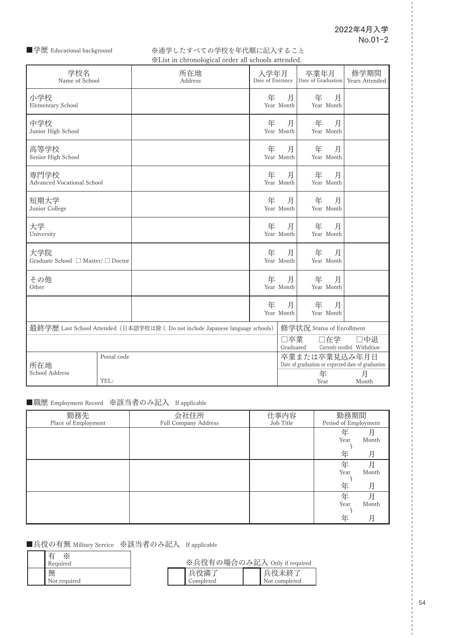#### ■学歴 Educational background

※通学したすべての学校を年代順に記入すること ※List in chronological order all schools attended.

|                                           |             | » List in chronological order an schools attenued.                            |                          |                  |                                                                    |                                    |
|-------------------------------------------|-------------|-------------------------------------------------------------------------------|--------------------------|------------------|--------------------------------------------------------------------|------------------------------------|
| 学校名<br>Name of School                     |             | 所在地<br>Address                                                                | 入学年月<br>Date of Entrance |                  | 卒業年月<br>Date of Graduation                                         | 修学期間<br>Years Attended             |
| 小学校<br><b>Elementary School</b>           |             |                                                                               | 年                        | 月<br>Year Month  | 年<br>月<br>Year Month                                               |                                    |
| 中学校<br>Junior High School                 |             |                                                                               | 年                        | 月<br>Year Month  | 年<br>月<br>Year Month                                               |                                    |
| 高等学校<br>Senior High School                |             |                                                                               | 年                        | 月<br>Year Month  | 年<br>月<br>Year Month                                               |                                    |
| 専門学校<br><b>Advanced Vocational School</b> |             |                                                                               | 年                        | 月<br>Year Month  | 年<br>月<br>Year Month                                               |                                    |
| 短期大学<br>Junior College                    |             |                                                                               | 年                        | 月<br>Year Month  | 年<br>月<br>Year Month                                               |                                    |
| 大学<br>University                          |             |                                                                               | 年                        | 月<br>Year Month  | 年<br>月<br>Year Month                                               |                                    |
| 大学院<br>Graduate School □ Master/ □ Doctor |             |                                                                               | 年                        | 月<br>Year Month  | 年<br>月<br>Year Month                                               |                                    |
| その他<br>Other                              |             |                                                                               | 年                        | 月<br>Year Month  | 年<br>月<br>Year Month                                               |                                    |
|                                           |             |                                                                               | 年                        | 月<br>Year Month  | 年<br>月<br>Year Month                                               |                                    |
|                                           |             | 最終学歴 Last School Attended (日本語学校は除く Do not include Japanese language schools) |                          |                  | 修学状況 Status of Enrollment                                          |                                    |
|                                           |             |                                                                               |                          | □卒業<br>Graduated | □在学                                                                | □中退<br>Currently enrolled Withdraw |
| 所在地                                       | Postal code |                                                                               |                          |                  | 卒業または卒業見込み年月日<br>Date of graduation or expected date of graduation |                                    |
| School Address                            | TEL:        |                                                                               |                          |                  | 年                                                                  | 月                                  |
|                                           |             |                                                                               |                          |                  | Year                                                               | Month                              |

#### ■職歴 Employment Record ※該当者のみ記入 If applicable

| 勤務先                 | 会社住所                 | 仕事内容      | 勤務期間                 |
|---------------------|----------------------|-----------|----------------------|
|                     |                      |           |                      |
| Place of Employment | Full Company Address | Job Title | Period of Employment |
|                     |                      |           | 年                    |
|                     |                      |           | 月                    |
|                     |                      |           | Year<br>Month        |
|                     |                      |           |                      |
|                     |                      |           |                      |
|                     |                      |           | 年<br>月               |
|                     |                      |           | 年<br>月               |
|                     |                      |           |                      |
|                     |                      |           | Year<br>Month        |
|                     |                      |           |                      |
|                     |                      |           |                      |
|                     |                      |           | 年<br>月               |
|                     |                      |           | 年<br>月               |
|                     |                      |           |                      |
|                     |                      |           | Year<br>Month        |
|                     |                      |           |                      |
|                     |                      |           |                      |
|                     |                      |           | 年<br>月               |

#### ■兵役の有無 Military Service ※該当者のみ記入 If applicable

| 有<br>⋇<br>Required | ※兵役有の場合のみ記入 Only if required |                        |
|--------------------|------------------------------|------------------------|
| 無<br>Not required  | 兵役満<br>Completed             | 兵役未終了<br>Not completed |

54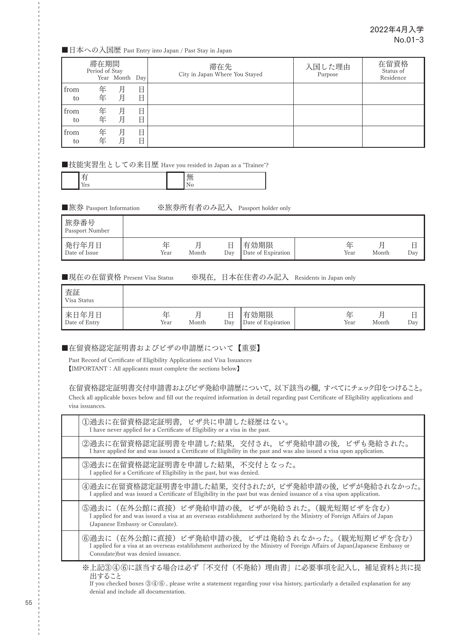■日本への入国歴 Past Entry into Japan / Past Stay in Japan

|            | 滞在期間<br>Period of Stay | Year Month Day |        | 滞在先<br>City in Japan Where You Stayed | 入国した理由<br>Purpose | 在留資格<br>Status of<br>Residence |
|------------|------------------------|----------------|--------|---------------------------------------|-------------------|--------------------------------|
| from<br>to | 年<br>年                 | 月<br>月         | 日<br>日 |                                       |                   |                                |
| from<br>to | 年<br>年                 | 月<br>月         | 日<br>日 |                                       |                   |                                |
| from<br>to | 年<br>年                 | 月<br>月         | 日<br>日 |                                       |                   |                                |

■技能実習生としての来日歴 Have you resided in Japan as a "Trainee"?

|--|--|

■旅券 Passport Information ※旅券所有者のみ記入 Passport holder only

| 旅券番号<br>Passport Number |           |       |     |                            |           |       |     |
|-------------------------|-----------|-------|-----|----------------------------|-----------|-------|-----|
| 発行年月日<br>Date of Issue  | 佂<br>Year | Month | Day | 有効期限<br>Date of Expiration | 佂<br>Year | Month | Day |

■現在の在留資格 Present Visa Status ※現在,日本在住者のみ記入 Residents in Japan only

| 査証<br>Visa Status      |           |       |     |                            |           |       |               |
|------------------------|-----------|-------|-----|----------------------------|-----------|-------|---------------|
| 来日年月日<br>Date of Entry | 佂<br>Year | Month | Day | 有効期限<br>Date of Expiration | 仩<br>Year | Month | ⊢<br>н<br>Day |

■在留資格認定証明書およびビザの申請歴について【重要】

Past Record of Certificate of Eligibility Applications and Visa Issuances 【IMPORTANT:All applicants must complete the sections below】

在留資格認定証明書交付申請書およびビザ発給申請歴について,以下該当の欄,すべてにチェック印をつけること。 Check all applicable boxes below and fill out the required information in detail regarding past Certificate of Eligibility applications and visa issuances.

| 1過去に在留資格認定証明書, ビザ共に申請した経歴はない。<br>I have never applied for a Certificate of Eligibility or a visa in the past.                                                                                                        |
|----------------------------------------------------------------------------------------------------------------------------------------------------------------------------------------------------------------------|
| ②過去に在留資格認定証明書を申請した結果,交付され,ビザ発給申請の後,ビザも発給された。<br>I have applied for and was issued a Certificate of Eligibility in the past and was also issued a visa upon application.                                              |
| 3過去に在留資格認定証明書を申請した結果,不交付となった。<br>I applied for a Certificate of Eligibility in the past, but was denied.                                                                                                             |
| ④過去に在留資格認定証明書を申請した結果,交付されたが,ビザ発給申請の後,ビザが発給されなかった。<br>I applied and was issued a Certificate of Eligibility in the past but was denied issuance of a visa upon application.                                           |
| ⑤過去に(在外公館に直接)ビザ発給申請の後,ビザが発給された。(観光短期ビザを含む)<br>I applied for and was issued a visa at an overseas establishment authorized by the Ministry of Foreign Affairs of Japan<br>(Japanese Embassy or Consulate).            |
| 6過去に(在外公館に直接)ビザ発給申請の後,ビザは発給されなかった。(観光短期ビザを含む)<br>I applied for a visa at an overseas establishment authorized by the Ministry of Foreign Affairs of Japan(Japanese Embassy or<br>Consulate) but was denied issuance. |
| ※上記③④⑥に該当する堪今け必ず「不亦付(不発給)理由聿」に必亜重頂を記入)」<br>  補兄 咨釈 レ 土 ! ァ 捍                                                                                                                                                         |

上記③④⑥に該当する場合は必す「不交付(不発給)埋由書」に必要事項を記入し,補足資料と共に提 出すること

If you checked boxes ③④⑥ , please write a statement regarding your visa history, particularly a detailed explanation for any denial and include all documentation.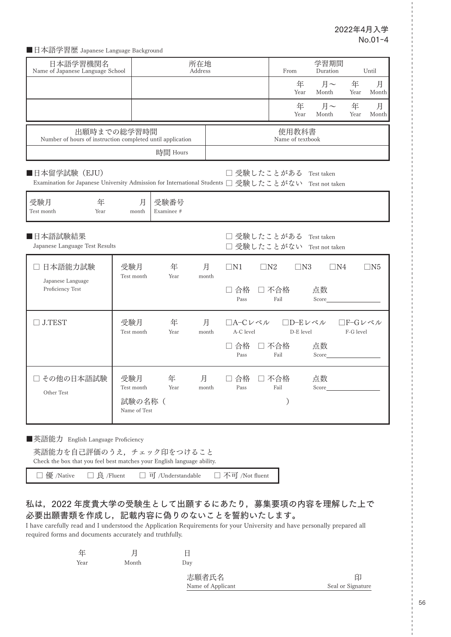■日本語学習歴 Japanese Language Background

| 日本語学習機関名<br>Name of Japanese Language School                                                                         |                        |                    | 所在地<br>Address |                                                      | From                      | 学習期間<br>Duration |                      | Until      |
|----------------------------------------------------------------------------------------------------------------------|------------------------|--------------------|----------------|------------------------------------------------------|---------------------------|------------------|----------------------|------------|
|                                                                                                                      |                        |                    |                |                                                      | 年<br>Year                 | 月~<br>Month      | 年<br>Year            | 月<br>Month |
|                                                                                                                      |                        |                    |                |                                                      | 年<br>Year                 | 月~<br>Month      | 年<br>Year            | 月<br>Month |
| 出願時までの総学習時間<br>Number of hours of instruction completed until application                                            |                        |                    |                |                                                      | 使用教科書<br>Name of textbook |                  |                      |            |
|                                                                                                                      |                        | 時間 Hours           |                |                                                      |                           |                  |                      |            |
| ■日本留学試験 (EJU)<br>Examination for Japanese University Admission for International Students □ 受験したことがない Test not taken |                        |                    |                | □ 受験したことがある                                          |                           | Test taken       |                      |            |
| 受験月<br>年<br>Test month<br>Year                                                                                       | 月<br>month             | 受験番号<br>Examinee # |                |                                                      |                           |                  |                      |            |
| ■日本語試験結果<br>Japanese Language Test Results                                                                           |                        |                    |                | □ 受験したことがある Test taken<br>□ 受験したことがない Test not taken |                           |                  |                      |            |
| 日本語能力試験<br>$\Box$<br>Japanese Language                                                                               | 受験月<br>Test month      | 年<br>Year          | 月<br>month     | $\Box$ N1                                            | $\Box N2$<br>$\Box$ N3    | $\Box$ N4        |                      | $\Box$ N5  |
| Proficiency Test                                                                                                     |                        |                    |                | □ 合格<br>Pass                                         | □ 不合格<br>Fail             | 点数<br>Score      |                      |            |
| $\Box$ J.TEST                                                                                                        | 受験月<br>Test month      | 年<br>Year          | 月<br>month     | □A-Cレベル<br>A-C level                                 | □D-Eレベル<br>D-E level      |                  | □F-Gレベル<br>F-G level |            |
|                                                                                                                      |                        |                    |                | □ 合格 □ 不合格<br>Pass                                   | Fail                      | 点数<br>Score      |                      |            |
| □ その他の日本語試験                                                                                                          | 受験月<br>Test month      | 年<br>Year          | 月<br>month     | □ 合格 □ 不合格<br>Pass                                   | Fail                      | 点数<br>Score      |                      |            |
| Other Test                                                                                                           | 試験の名称(<br>Name of Test |                    |                |                                                      | $\mathcal{E}$             |                  |                      |            |
| Ⅰ英語能力 English Language Proficiency                                                                                   |                        |                    |                |                                                      |                           |                  |                      |            |

英語能力を自己評価のうえ,チェック印をつけること Check the box that you feel best matches your English language ability.

□ 優 /Native □ 良 /Fluent □ 可 /Understandable □ 不可 /Not fluent

#### 私は,2022 年度貴大学の受験生として出願するにあたり,募集要項の内容を理解した上で 必要出願書類を作成し,記載内容に偽りのないことを誓約いたします。

I have carefully read and I understood the Application Requirements for your University and have personally prepared all required forms and documents accurately and truthfully.

| 生    |       |                   |                   |
|------|-------|-------------------|-------------------|
| Year | Month | Day               |                   |
|      |       | 志願者氏名             | 印                 |
|      |       | Name of Applicant | Seal or Signature |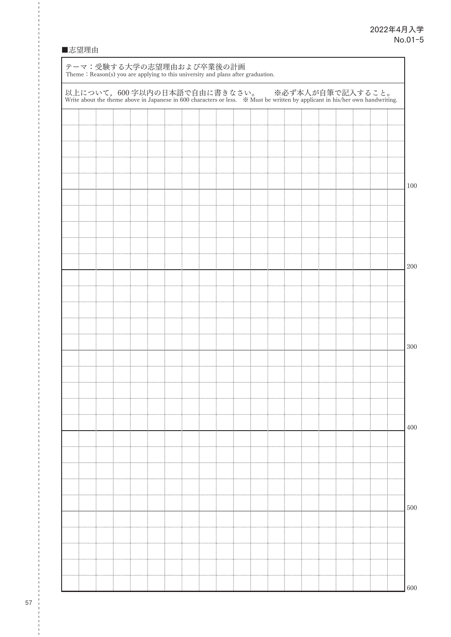#### ■志望理由

|  |  |  |  |  |  |  |  |  | 以上について、600字以内の日本語で自由に書きなさい。 ※必ず本人が自筆で記入すること。<br>Write about the theme above in Japanese in 600 characters or less. ※ Must be written by applicant in his/her own handwriting. |  |
|--|--|--|--|--|--|--|--|--|-------------------------------------------------------------------------------------------------------------------------------------------------------------------------------|--|
|  |  |  |  |  |  |  |  |  |                                                                                                                                                                               |  |
|  |  |  |  |  |  |  |  |  |                                                                                                                                                                               |  |
|  |  |  |  |  |  |  |  |  |                                                                                                                                                                               |  |
|  |  |  |  |  |  |  |  |  |                                                                                                                                                                               |  |
|  |  |  |  |  |  |  |  |  |                                                                                                                                                                               |  |
|  |  |  |  |  |  |  |  |  |                                                                                                                                                                               |  |
|  |  |  |  |  |  |  |  |  |                                                                                                                                                                               |  |
|  |  |  |  |  |  |  |  |  |                                                                                                                                                                               |  |
|  |  |  |  |  |  |  |  |  |                                                                                                                                                                               |  |
|  |  |  |  |  |  |  |  |  |                                                                                                                                                                               |  |
|  |  |  |  |  |  |  |  |  |                                                                                                                                                                               |  |
|  |  |  |  |  |  |  |  |  |                                                                                                                                                                               |  |
|  |  |  |  |  |  |  |  |  |                                                                                                                                                                               |  |
|  |  |  |  |  |  |  |  |  |                                                                                                                                                                               |  |
|  |  |  |  |  |  |  |  |  |                                                                                                                                                                               |  |
|  |  |  |  |  |  |  |  |  |                                                                                                                                                                               |  |
|  |  |  |  |  |  |  |  |  |                                                                                                                                                                               |  |
|  |  |  |  |  |  |  |  |  |                                                                                                                                                                               |  |
|  |  |  |  |  |  |  |  |  |                                                                                                                                                                               |  |
|  |  |  |  |  |  |  |  |  |                                                                                                                                                                               |  |
|  |  |  |  |  |  |  |  |  |                                                                                                                                                                               |  |
|  |  |  |  |  |  |  |  |  |                                                                                                                                                                               |  |
|  |  |  |  |  |  |  |  |  |                                                                                                                                                                               |  |
|  |  |  |  |  |  |  |  |  |                                                                                                                                                                               |  |
|  |  |  |  |  |  |  |  |  |                                                                                                                                                                               |  |
|  |  |  |  |  |  |  |  |  |                                                                                                                                                                               |  |
|  |  |  |  |  |  |  |  |  |                                                                                                                                                                               |  |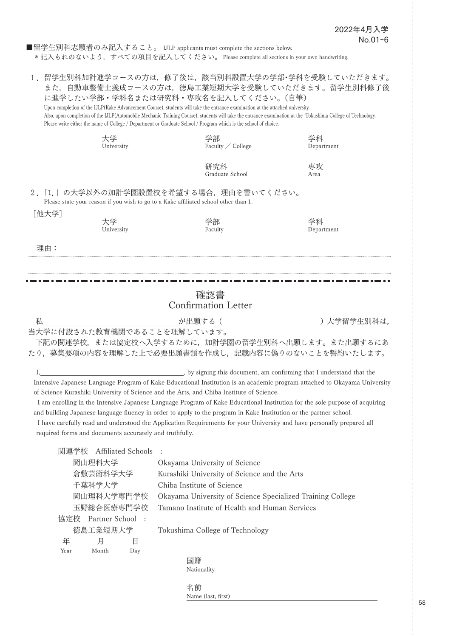■留学生別科志願者のみ記入すること。 IJLP applicants must complete the sections below. \*記入もれのないよう,すべての項目を記入してください。 Please complete all sections in your own handwriting.

|                                                                                                                                                                                                                                                                                                                                                                                                                              |                                                             |                    | に進学したい学部・学科名または研究科・専攻名を記入してください。(自筆)<br>Upon completion of the IJLP(Kake Advancement Course), students will take the entrance examination at the attached university.<br>Please write either the name of College / Department or Graduate School / Program which is the school of choice. |                        | 1. 留学生別科加計進学コースの方は、修了後は、該当別科設置大学の学部・学科を受験していただきます。<br>また、自動車整備士養成コースの方は、徳島工業短期大学を受験していただきます。留学生別科修了後<br>Also, upon completion of the IJLP(Automobile Mechanic Training Course), students will take the entrance examination at the Tokushima College of Technology.                                                                                                                                                                                                                                                                                                            |  |
|------------------------------------------------------------------------------------------------------------------------------------------------------------------------------------------------------------------------------------------------------------------------------------------------------------------------------------------------------------------------------------------------------------------------------|-------------------------------------------------------------|--------------------|-------------------------------------------------------------------------------------------------------------------------------------------------------------------------------------------------------------------------------------------------------------------------------------------|------------------------|--------------------------------------------------------------------------------------------------------------------------------------------------------------------------------------------------------------------------------------------------------------------------------------------------------------------------------------------------------------------------------------------------------------------------------------------------------------------------------------------------------------------------------------------------------------------------------|--|
|                                                                                                                                                                                                                                                                                                                                                                                                                              | 大学<br>University                                            |                    | 学部                                                                                                                                                                                                                                                                                        | Faculty / College      | 学科<br>Department                                                                                                                                                                                                                                                                                                                                                                                                                                                                                                                                                               |  |
|                                                                                                                                                                                                                                                                                                                                                                                                                              |                                                             |                    |                                                                                                                                                                                                                                                                                           | 研究科<br>Graduate School | 専攻<br>Area                                                                                                                                                                                                                                                                                                                                                                                                                                                                                                                                                                     |  |
|                                                                                                                                                                                                                                                                                                                                                                                                                              |                                                             |                    | 2.  1.」の大学以外の加計学園設置校を希望する場合、理由を書いてください。<br>Please state your reason if you wish to go to a Kake affiliated school other than 1.                                                                                                                                                           |                        |                                                                                                                                                                                                                                                                                                                                                                                                                                                                                                                                                                                |  |
| [他大学]                                                                                                                                                                                                                                                                                                                                                                                                                        | 大学<br>University                                            |                    | 学部<br>Faculty                                                                                                                                                                                                                                                                             |                        | 学科<br>Department                                                                                                                                                                                                                                                                                                                                                                                                                                                                                                                                                               |  |
| 理由:                                                                                                                                                                                                                                                                                                                                                                                                                          |                                                             |                    |                                                                                                                                                                                                                                                                                           |                        |                                                                                                                                                                                                                                                                                                                                                                                                                                                                                                                                                                                |  |
|                                                                                                                                                                                                                                                                                                                                                                                                                              |                                                             |                    |                                                                                                                                                                                                                                                                                           |                        |                                                                                                                                                                                                                                                                                                                                                                                                                                                                                                                                                                                |  |
|                                                                                                                                                                                                                                                                                                                                                                                                                              |                                                             |                    | 確認書<br><b>Confirmation Letter</b>                                                                                                                                                                                                                                                         |                        |                                                                                                                                                                                                                                                                                                                                                                                                                                                                                                                                                                                |  |
| 私                                                                                                                                                                                                                                                                                                                                                                                                                            |                                                             |                    | が出願する (                                                                                                                                                                                                                                                                                   |                        | )大学留学生別科は.                                                                                                                                                                                                                                                                                                                                                                                                                                                                                                                                                                     |  |
|                                                                                                                                                                                                                                                                                                                                                                                                                              |                                                             |                    | 当大学に付設された教育機関であることを理解しています。                                                                                                                                                                                                                                                               |                        | 下記の関連学校,または協定校へ入学するために,加計学園の留学生別科へ出願します。また出願するにあ<br>たり、募集要項の内容を理解した上で必要出願書類を作成し、記載内容に偽りのないことを誓約いたします。                                                                                                                                                                                                                                                                                                                                                                                                                                                                          |  |
| $\mathbf{I}_{\mathbf{I}}$ and $\mathbf{I}_{\mathbf{I}}$ and $\mathbf{I}_{\mathbf{I}}$ and $\mathbf{I}_{\mathbf{I}}$ and $\mathbf{I}_{\mathbf{I}}$ and $\mathbf{I}_{\mathbf{I}}$ and $\mathbf{I}_{\mathbf{I}}$ and $\mathbf{I}_{\mathbf{I}}$ and $\mathbf{I}_{\mathbf{I}}$ and $\mathbf{I}_{\mathbf{I}}$ and $\mathbf{I}_{\mathbf{I}}$ and $\mathbf{I}_{\mathbf{I$<br>required forms and documents accurately and truthfully. |                                                             |                    | of Science Kurashiki University of Science and the Arts, and Chiba Institute of Science.                                                                                                                                                                                                  |                        | by signing this document, am confirming that I understand that the<br>Intensive Japanese Language Program of Kake Educational Institution is an academic program attached to Okayama University<br>I am enrolling in the Intensive Japanese Language Program of Kake Educational Institution for the sole purpose of acquiring<br>and building Japanese language fluency in order to apply to the program in Kake Institution or the partner school.<br>I have carefully read and understood the Application Requirements for your University and have personally prepared all |  |
| 関連学校                                                                                                                                                                                                                                                                                                                                                                                                                         |                                                             | Affiliated Schools |                                                                                                                                                                                                                                                                                           |                        |                                                                                                                                                                                                                                                                                                                                                                                                                                                                                                                                                                                |  |
|                                                                                                                                                                                                                                                                                                                                                                                                                              | 岡山理科大学                                                      |                    | Okayama University of Science                                                                                                                                                                                                                                                             |                        |                                                                                                                                                                                                                                                                                                                                                                                                                                                                                                                                                                                |  |
|                                                                                                                                                                                                                                                                                                                                                                                                                              | 倉敷芸術科学大学                                                    |                    | Kurashiki University of Science and the Arts                                                                                                                                                                                                                                              |                        |                                                                                                                                                                                                                                                                                                                                                                                                                                                                                                                                                                                |  |
|                                                                                                                                                                                                                                                                                                                                                                                                                              | 千葉科学大学                                                      |                    | Chiba Institute of Science                                                                                                                                                                                                                                                                |                        |                                                                                                                                                                                                                                                                                                                                                                                                                                                                                                                                                                                |  |
|                                                                                                                                                                                                                                                                                                                                                                                                                              | 岡山理科大学専門学校                                                  |                    |                                                                                                                                                                                                                                                                                           |                        | Okayama University of Science Specialized Training College                                                                                                                                                                                                                                                                                                                                                                                                                                                                                                                     |  |
|                                                                                                                                                                                                                                                                                                                                                                                                                              | 玉野総合医療専門学校<br>Tamano Institute of Health and Human Services |                    |                                                                                                                                                                                                                                                                                           |                        |                                                                                                                                                                                                                                                                                                                                                                                                                                                                                                                                                                                |  |
|                                                                                                                                                                                                                                                                                                                                                                                                                              | 協定校 Partner School :                                        |                    |                                                                                                                                                                                                                                                                                           |                        |                                                                                                                                                                                                                                                                                                                                                                                                                                                                                                                                                                                |  |
|                                                                                                                                                                                                                                                                                                                                                                                                                              | 徳島工業短期大学                                                    |                    | Tokushima College of Technology                                                                                                                                                                                                                                                           |                        |                                                                                                                                                                                                                                                                                                                                                                                                                                                                                                                                                                                |  |
| 年                                                                                                                                                                                                                                                                                                                                                                                                                            | 月                                                           | 日                  |                                                                                                                                                                                                                                                                                           |                        |                                                                                                                                                                                                                                                                                                                                                                                                                                                                                                                                                                                |  |
| Year                                                                                                                                                                                                                                                                                                                                                                                                                         | Month                                                       | Day                |                                                                                                                                                                                                                                                                                           |                        |                                                                                                                                                                                                                                                                                                                                                                                                                                                                                                                                                                                |  |
|                                                                                                                                                                                                                                                                                                                                                                                                                              |                                                             |                    | 国籍                                                                                                                                                                                                                                                                                        |                        |                                                                                                                                                                                                                                                                                                                                                                                                                                                                                                                                                                                |  |
|                                                                                                                                                                                                                                                                                                                                                                                                                              |                                                             |                    | Nationality                                                                                                                                                                                                                                                                               |                        |                                                                                                                                                                                                                                                                                                                                                                                                                                                                                                                                                                                |  |
|                                                                                                                                                                                                                                                                                                                                                                                                                              |                                                             |                    | 名前<br>Name (last, first)                                                                                                                                                                                                                                                                  |                        |                                                                                                                                                                                                                                                                                                                                                                                                                                                                                                                                                                                |  |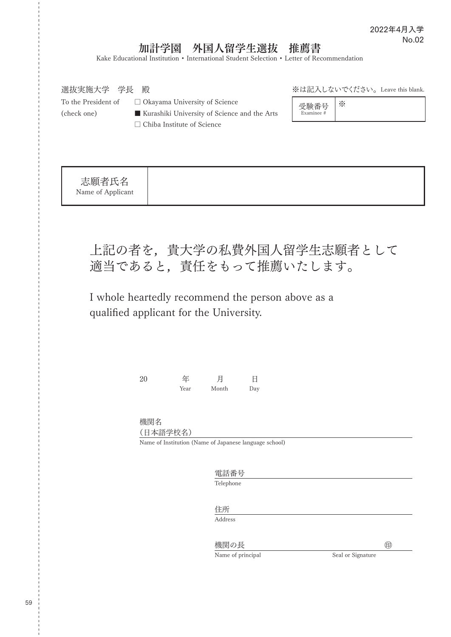# 加計学園 外国人留学生選抜 推薦書

Kake Educational Institution • International Student Selection • Letter of Recommendation

| 選抜実施大学 学長<br>殿                    |                                              |            | ※は記入しないでください。 Leave this blank. |
|-----------------------------------|----------------------------------------------|------------|---------------------------------|
| To the President of               | $\Box$ Okayama University of Science         | 受験番号       | ☀                               |
| (check one)                       | Kurashiki University of Science and the Arts | Examinee # |                                 |
| $\Box$ Chiba Institute of Science |                                              |            |                                 |
|                                   |                                              |            |                                 |
|                                   |                                              |            |                                 |
|                                   |                                              |            |                                 |
| 志願者氏名<br>Name of Applicant        |                                              |            |                                 |

上記の者を,貴大学の私費外国人留学生志願者として 適当であると,責任をもって推薦いたします。

I whole heartedly recommend the person above as a qualified applicant for the University.

| 20 | 年    | 月     | Η   |
|----|------|-------|-----|
|    | Year | Month | Day |

機関名 (日本語学校名)

Name of Institution (Name of Japanese language school)

電話番号 Telephone

住所

Address

機関の長 ㊞

Name of principal Seal or Signature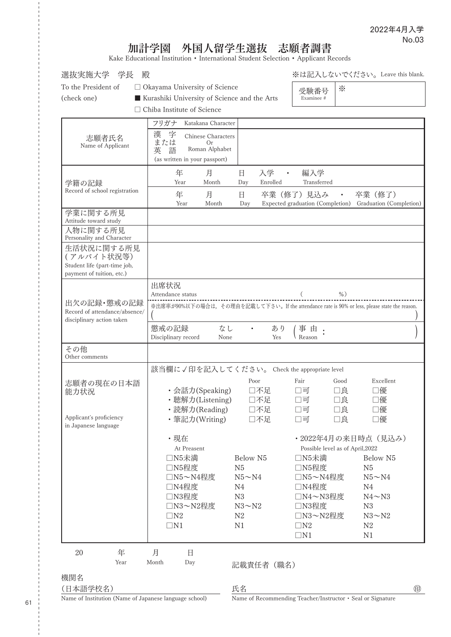# 加計学園 外国人留学生選抜 志願者調書

Kake Educational Institution • International Student Selection • Applicant Records

| To the President of<br>□ Okayama University of Science<br>☀<br>受験番号<br>(check one)<br>Kurashiki University of Science and the Arts<br>Examinee #<br>□ Chiba Institute of Science<br>フリガナ<br>Katakana Character<br>字<br>漢<br>Chinese Characters<br>志願者氏名<br>または<br>Or<br>Name of Applicant<br>Roman Alphabet<br>語<br>英<br>(as written in your passport)<br>年<br>月<br>入学<br>編入学<br>日<br>$\sim$ $\sim$<br>Month<br>Enrolled<br>Transferred<br>Year<br>Day<br>学籍の記録<br>Record of school registration<br>年<br>卒業 (修了)<br>月<br>日<br>卒業(修了)見込み<br>$\bullet$<br>Year<br>Month<br>Expected graduation (Completion) Graduation (Completion)<br>Day<br>学業に関する所見<br>Attitude toward study<br>人物に関する所見<br>Personality and Character<br>生活状況に関する所見<br>(アルバイト状況等)<br>Student life (part-time job,<br>payment of tuition, etc.)<br>出席状況<br>Attendance status<br>$%$ )<br>出欠の記録・懲戒の記録<br>※出席率が90%以下の場合は、その理由を記載して下さい。If the attendance rate is 90% or less, please state the reason.<br>Record of attendance/absence/<br>disciplinary action taken<br>なし<br>懲戒の記録<br>あり<br>事由<br>$\bullet$<br>Reason<br>Disciplinary record<br>None<br>Yes<br>その他<br>Other comments<br>該当欄に√印を記入してください。 Check the appropriate level<br>Fair<br>Excellent<br>Poor<br>Good<br>志願者の現在の日本語<br>・会話力(Speaking)<br>□不足<br>□良<br>□優<br>口可<br>能力状況<br>•聴解力(Listening)<br>□不足<br>□優<br>□良<br>口可<br>• 読解力(Reading)<br>□不足<br>□良<br>□優<br>口可<br>Applicant's proficiency<br>・筆記力(Writing)<br>□不足<br>□可<br>口良<br>□優<br>in Japanese language<br>・現在<br>・2022年4月の来日時点 (見込み)<br>Possible level as of April, 2022<br>At Preasent<br>□N5未満<br>□N5未満<br>Below N5<br>Below N5<br>□N5程度<br>N <sub>5</sub><br>□N5程度<br>N <sub>5</sub><br>□N5~N4程度<br>$N5 \sim N4$<br>□N5~N4程度<br>$N5 \sim N4$<br>□N4程度<br>□N4程度<br>N4<br>N4<br>□N3程度<br>${\rm N}3$<br>□N4~N3程度<br>$N4 \sim N3$<br>□N3程度<br>□N3~N2程度<br>$N3 \sim N2$<br>N3<br>${\rm N}2$<br>$\Box N2$<br>□N3~N2程度<br>$N3 \sim N2$<br>$\Box N1$<br>N1<br>$\Box N2$<br>N2<br>$\Box N1$<br>N1 | 殿<br>選抜実施大学 学長 |  | ※は記入しないでください。 Leave this blank. |
|-----------------------------------------------------------------------------------------------------------------------------------------------------------------------------------------------------------------------------------------------------------------------------------------------------------------------------------------------------------------------------------------------------------------------------------------------------------------------------------------------------------------------------------------------------------------------------------------------------------------------------------------------------------------------------------------------------------------------------------------------------------------------------------------------------------------------------------------------------------------------------------------------------------------------------------------------------------------------------------------------------------------------------------------------------------------------------------------------------------------------------------------------------------------------------------------------------------------------------------------------------------------------------------------------------------------------------------------------------------------------------------------------------------------------------------------------------------------------------------------------------------------------------------------------------------------------------------------------------------------------------------------------------------------------------------------------------------------------------------------------------------------------------------------------------------------------------------------------------------------------------------------------------------------------------------------------------------------------------------|----------------|--|---------------------------------|
|                                                                                                                                                                                                                                                                                                                                                                                                                                                                                                                                                                                                                                                                                                                                                                                                                                                                                                                                                                                                                                                                                                                                                                                                                                                                                                                                                                                                                                                                                                                                                                                                                                                                                                                                                                                                                                                                                                                                                                                   |                |  |                                 |
|                                                                                                                                                                                                                                                                                                                                                                                                                                                                                                                                                                                                                                                                                                                                                                                                                                                                                                                                                                                                                                                                                                                                                                                                                                                                                                                                                                                                                                                                                                                                                                                                                                                                                                                                                                                                                                                                                                                                                                                   |                |  |                                 |
|                                                                                                                                                                                                                                                                                                                                                                                                                                                                                                                                                                                                                                                                                                                                                                                                                                                                                                                                                                                                                                                                                                                                                                                                                                                                                                                                                                                                                                                                                                                                                                                                                                                                                                                                                                                                                                                                                                                                                                                   |                |  |                                 |
|                                                                                                                                                                                                                                                                                                                                                                                                                                                                                                                                                                                                                                                                                                                                                                                                                                                                                                                                                                                                                                                                                                                                                                                                                                                                                                                                                                                                                                                                                                                                                                                                                                                                                                                                                                                                                                                                                                                                                                                   |                |  |                                 |
|                                                                                                                                                                                                                                                                                                                                                                                                                                                                                                                                                                                                                                                                                                                                                                                                                                                                                                                                                                                                                                                                                                                                                                                                                                                                                                                                                                                                                                                                                                                                                                                                                                                                                                                                                                                                                                                                                                                                                                                   |                |  |                                 |
|                                                                                                                                                                                                                                                                                                                                                                                                                                                                                                                                                                                                                                                                                                                                                                                                                                                                                                                                                                                                                                                                                                                                                                                                                                                                                                                                                                                                                                                                                                                                                                                                                                                                                                                                                                                                                                                                                                                                                                                   |                |  |                                 |
|                                                                                                                                                                                                                                                                                                                                                                                                                                                                                                                                                                                                                                                                                                                                                                                                                                                                                                                                                                                                                                                                                                                                                                                                                                                                                                                                                                                                                                                                                                                                                                                                                                                                                                                                                                                                                                                                                                                                                                                   |                |  |                                 |
| 年<br>20<br>月<br>日                                                                                                                                                                                                                                                                                                                                                                                                                                                                                                                                                                                                                                                                                                                                                                                                                                                                                                                                                                                                                                                                                                                                                                                                                                                                                                                                                                                                                                                                                                                                                                                                                                                                                                                                                                                                                                                                                                                                                                 |                |  |                                 |

(日本語学校名)

氏名 しょうしょう しょうしょう しゅうしょう しゅうしょう のうしょう

Name of Institution (Name of Japanese language school)

Name of Recommending Teacher/Instructor ・ Seal or Signature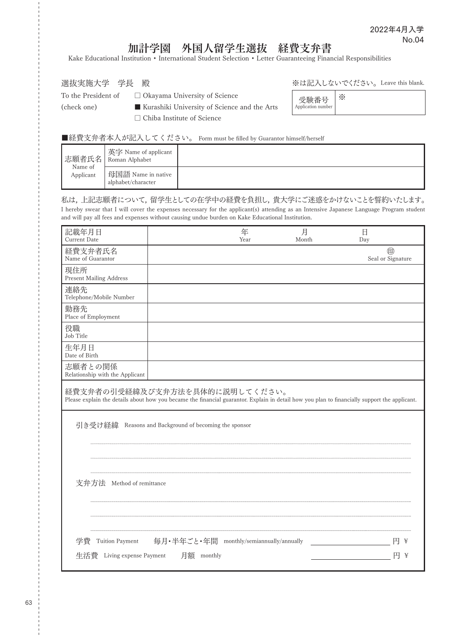## 加計学園 外国人留学生選抜 経費支弁書

Kake Educational Institution • International Student Selection • Letter Guaranteeing Financial Responsibilities

選抜実施大学 学長 殿

※は記入しないでください。Leave this blank.

To the President of  $□$  Okayama University of Science

(check one) ■ Kurashiki University of Science and the Arts □ Chiba Institute of Science

| 受験番号<br>Application number |  |
|----------------------------|--|
|                            |  |

■経費支弁者本人が記入してください。 Form must be filled by Guarantor himself/herself

| Name of   | ↑ 英字 Name of applicant<br> 志願者氏名   Roman Alphabet |  |
|-----------|---------------------------------------------------|--|
| Applicant | 母国語 Name in native<br>alphabet/character          |  |

私は,上記志願者について,留学生としての在学中の経費を負担し,貴大学にご迷惑をかけないことを誓約いたします。 I hereby swear that I will cover the expenses necessary for the applicant(s) attending as an Intensive Japanese Language Program student and will pay all fees and expenses without causing undue burden on Kake Educational Institution.

| 記載年月日<br><b>Current Date</b>                                                                                                                                                    |                                                       | 年<br>Year | 月<br>Month | 日<br>Day               |
|---------------------------------------------------------------------------------------------------------------------------------------------------------------------------------|-------------------------------------------------------|-----------|------------|------------------------|
| 経費支弁者氏名<br>Name of Guarantor                                                                                                                                                    |                                                       |           |            | 甸<br>Seal or Signature |
| 現住所<br><b>Present Mailing Address</b>                                                                                                                                           |                                                       |           |            |                        |
| 連絡先<br>Telephone/Mobile Number                                                                                                                                                  |                                                       |           |            |                        |
| 勤務先<br>Place of Employment                                                                                                                                                      |                                                       |           |            |                        |
| 役職<br>Job Title                                                                                                                                                                 |                                                       |           |            |                        |
| 生年月日<br>Date of Birth                                                                                                                                                           |                                                       |           |            |                        |
| 志願者との関係<br>Relationship with the Applicant                                                                                                                                      |                                                       |           |            |                        |
| 経費支弁者の引受経緯及び支弁方法を具体的に説明してください。<br>Please explain the details about how you became the financial guarantor. Explain in detail how you plan to financially support the applicant. |                                                       |           |            |                        |
|                                                                                                                                                                                 | 引き受け経緯 Reasons and Background of becoming the sponsor |           |            |                        |
|                                                                                                                                                                                 |                                                       |           |            |                        |
| 支弁方法 Method of remittance                                                                                                                                                       |                                                       |           |            |                        |
|                                                                                                                                                                                 |                                                       |           |            |                        |
| 学費<br>Tuition Payment                                                                                                                                                           | 毎月・半年ごと・年間 monthly/semiannually/annually              |           |            | 円<br>¥                 |
|                                                                                                                                                                                 | 生活費 Living expense Payment 月額 monthly                 |           |            | 円<br>¥                 |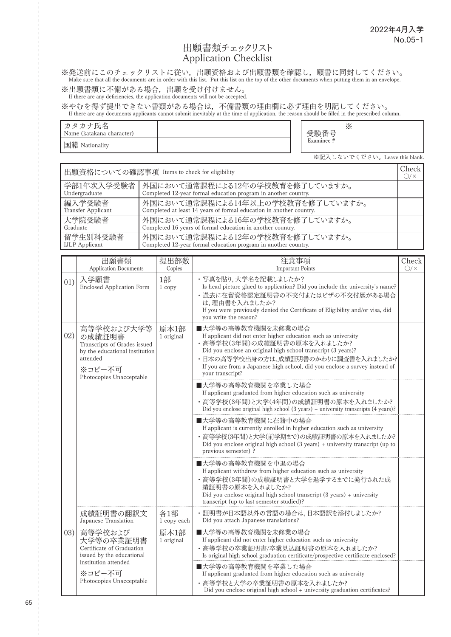#### 出願書類チェックリスト Application Checklist

※発送前にこのチェックリストに従い,出願資格および出願書類を確認し,願書に同封してください。<br>Make sure that all the documents are in order with this list. Put this list on the top of the other documents when putting them in an envelope.

※出願書類に不備がある場合,出願を受け付けません。 If there are any deficiencies, the application documents will not be accepted.

※やむを得ず提出できない書類がある場合は,不備書類の理由欄に必ず理由を明記してください。<br>If there are any documents applicants cannot submit inevitably at the time of application, the reason should be filled in the prescribed column.

| カタカナ氏名<br>Name (katakana character) |  | 受験番号       | $\times$                      |
|-------------------------------------|--|------------|-------------------------------|
| 国籍 Nationality                      |  | Examinee # |                               |
|                                     |  |            | ※記入しないでください。Leave this blank. |

出願資格についての確認事項 Items to check for eligibility Check (Check  $O/X$ 学部1年次入学受験者 Undergraduate 外国において通常課程による12年の学校教育を修了していますか。 Completed 12-year formal education program in another country. 編入学受験者 Transfer Applicant 外国において通常課程による14年以上の学校教育を修了していますか。 Completed at least 14 years of formal education in another country. 大学院受験者 **Graduate** 外国において通常課程による16年の学校教育を修了していますか。 Completed 16 years of formal education in another country. 留学生別科受験者 IJLP Applicant 外国において通常課程による12年の学校教育を修了していますか。 Completed 12-year formal education program in another country.

|      | 出願書類<br><b>Application Documents</b>                                                                                                     | 提出部数<br>Copies     | 注意事項<br><b>Important Points</b>                                                                                                                                                                                                                                                                                                | Check<br>O/X |
|------|------------------------------------------------------------------------------------------------------------------------------------------|--------------------|--------------------------------------------------------------------------------------------------------------------------------------------------------------------------------------------------------------------------------------------------------------------------------------------------------------------------------|--------------|
| 01)  | 入学願書<br><b>Enclosed Application Form</b>                                                                                                 | 1部<br>1 copy       | ・写真を貼り,大学名を記載しましたか?<br>Is head picture glued to application? Did you include the university's name?<br>• 過去に在留資格認定証明書の不交付またはビザの不交付歴がある場合<br>は,理由書を入れましたか?<br>If you were previously denied the Certificate of Eligibility and/or visa, did<br>you write the reason?                                                            |              |
| 02)  | 高等学校および大学等<br>の成績証明書<br>Transcripts of Grades issued<br>by the educational institution<br>attended<br>※コピー不可<br>Photocopies Unacceptable | 原本1部<br>1 original | ■大学等の高等教育機関を未修業の場合<br>If applicant did not enter higher education such as university<br>・高等学校(3年間)の成績証明書の原本を入れましたか?<br>Did you enclose an original high school transcript (3 years)?<br>・日本の高等学校出身の方は、成績証明書のかわりに調査書を入れましたか?<br>If you are from a Japanese high school, did you enclose a survey instead of<br>vour transcript? |              |
|      |                                                                                                                                          |                    | ■大学等の高等教育機関を卒業した場合<br>If applicant graduated from higher education such as university<br>・高等学校(3年間)と大学(4年間)の成績証明書の原本を入れましたか?<br>Did you enclose original high school (3 years) + university transcripts (4 years)?                                                                                                             |              |
|      |                                                                                                                                          |                    | ■大学等の高等教育機関に在籍中の場合<br>If applicant is currently enrolled in higher education such as university<br>・ 高等学校(3年間)と大学(前学期まで)の成績証明書の原本を入れましたか?<br>Did you enclose original high school $(3 \text{ years}) +$ university transcript (up to<br>previous semester) ?                                                                   |              |
|      |                                                                                                                                          |                    | ■大学等の高等教育機関を中退の場合<br>If applicant withdrew from higher education such as university<br>・高等学校(3年間)の成績証明書と大学を退学するまでに発行された成<br>績証明書の原本を入れましたか?<br>Did you enclose original high school transcript $(3 \text{ years}) +$ university<br>transcript (up to last semester studied)?                                                   |              |
|      | 成績証明書の翻訳文<br>Japanese Translation                                                                                                        | 各1部<br>1 copy each | ・証明書が日本語以外の言語の場合は,日本語訳を添付しましたか?<br>Did you attach Japanese translations?                                                                                                                                                                                                                                                       |              |
| (03) | 高等学校および<br>大学等の卒業証明書<br>Certificate of Graduation<br>issued by the educational                                                           | 原本1部<br>1 original | ■大学等の高等教育機関を未修業の場合<br>If applicant did not enter higher education such as university<br>・高等学校の卒業証明書/卒業見込証明書の原本を入れましたか?<br>Is original high school graduation certificate/prospective certificate enclosed?                                                                                                                     |              |
|      | institution attended<br>※コピー不可<br>Photocopies Unacceptable                                                                               |                    | ■大学等の高等教育機関を卒業した場合<br>If applicant graduated from higher education such as university<br>・高等学校と大学の卒業証明書の原本を入れましたか?<br>Did you enclose original high school + university graduation certificates?                                                                                                                               |              |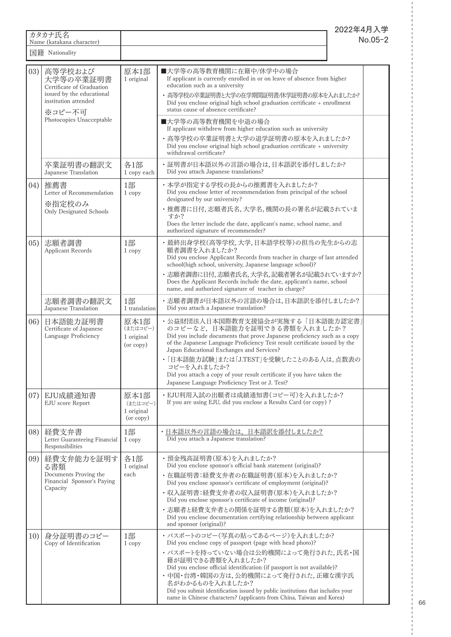|      | カタカナ氏名<br>Name (katakana character)                                                                                                          |                                             | 2022年4月入学                                                                                                                                                                                                                                                                                                                                                                                                                                                                                                  | No.05-2 |
|------|----------------------------------------------------------------------------------------------------------------------------------------------|---------------------------------------------|------------------------------------------------------------------------------------------------------------------------------------------------------------------------------------------------------------------------------------------------------------------------------------------------------------------------------------------------------------------------------------------------------------------------------------------------------------------------------------------------------------|---------|
|      | 国籍 Nationality                                                                                                                               |                                             |                                                                                                                                                                                                                                                                                                                                                                                                                                                                                                            |         |
| (03) | 高等学校および<br>大学等の卒業証明書<br>Certificate of Graduation<br>issued by the educational<br>institution attended<br>※コピー不可<br>Photocopies Unacceptable | 原本1部<br>1 original                          | ■大学等の高等教育機関に在籍中/休学中の場合<br>If applicant is currently enrolled in or on leave of absence from higher<br>education such as a university<br>• 高等学校の卒業証明書と大学の在学期間証明書/休学証明書の原本を入れましたか?<br>Did you enclose original high school graduation certificate + enrollment<br>status cause of absence certificate?<br>■大学等の高等教育機関を中退の場合<br>If applicant withdrew from higher education such as university<br>・高等学校の卒業証明書と大学の退学証明書の原本を入れましたか?<br>Did you enclose original high school graduation certificate + university |         |
|      | 卒業証明書の翻訳文<br>Japanese Translation                                                                                                            | 各1部<br>1 copy each                          | withdrawal certificate?<br>・証明書が日本語以外の言語の場合は,日本語訳を添付しましたか?<br>Did you attach Japanese translations?                                                                                                                                                                                                                                                                                                                                                                                                        |         |
| (04) | 推薦書<br>Letter of Recommendation<br>※指定校のみ<br><b>Only Designated Schools</b>                                                                  | 1部<br>1 copy                                | ・本学が指定する学校の長からの推薦書を入れましたか?<br>Did you enclose letter of recommendation from principal of the school<br>designated by our university?<br>・推薦書に日付,志願者氏名,大学名,機関の長の署名が記載されていま<br>すか?<br>Does the letter include the date, applicant's name, school name, and<br>authorized signature of recommender?                                                                                                                                                                                                           |         |
| (05) | 志願者調書<br><b>Applicant Records</b>                                                                                                            | 1部<br>1 copy                                | 最終出身学校(高等学校,大学,日本語学校等)の担当の先生からの志<br>願者調書を入れましたか?<br>Did you enclose Applicant Records from teacher in charge of last attended<br>school(high school, university, Japanese language school)?<br>志願者調書に日付,志願者氏名,大学名,記載者署名が記載されていますか?<br>Does the Applicant Records include the date, applicant's name, school<br>name, and authorized signature of teacher in charge?                                                                                                                                        |         |
|      | 志願者調書の翻訳文<br>Japanese Translation                                                                                                            | 1部<br>1 translation                         | ・志願者調書が日本語以外の言語の場合は,日本語訳を添付しましたか?<br>Did you attach a Japanese translation?                                                                                                                                                                                                                                                                                                                                                                                                                                |         |
| (06) | 日本語能力証明書<br>Certificate of Japanese<br>Language Proficiency                                                                                  | 原本1部<br>(またはコピー)<br>1 original<br>(or copy) | • 公益財団法人日本国際教育支援協会が実施する「日本語能力認定書」<br>のコピーなど、日本語能力を証明できる書類を入れましたか?<br>Did you include documents that prove Japanese proficiency such as a copy<br>of the Japanese Language Proficiency Test result certificate issued by the<br>Japan Educational Exchanges and Services?<br>・「日本語能力試験」または「J.TEST」を受験したことのある人は,点数表の<br>コピーを入れましたか?<br>Did you attach a copy of your result certificate if you have taken the<br>Japanese Language Proficiency Test or J. Test?                                              |         |
| 07)  | EJU成績通知書<br><b>EJU</b> score Report                                                                                                          | 原本1部<br>(またはコピー)<br>1 original<br>(or copy) | ・EJU利用入試の出願者は成績通知書(コピー可)を入れましたか?<br>If you are using EJU, did you enclose a Results Card (or copy) ?                                                                                                                                                                                                                                                                                                                                                                                                       |         |
| (8)  | 経費支弁書<br>Letter Guaranteeing Financial<br>Responsibilities                                                                                   | 1部<br>1 copy                                | ・日本語以外の言語の場合は、日本語訳を添付しましたか?<br>Did you attach a Japanese translation?                                                                                                                                                                                                                                                                                                                                                                                                                                      |         |
| 09)  | 経費支弁能力を証明す<br>る書類<br>Documents Proving the<br>Financial Sponsor's Paying<br>Capacity                                                         | 各1部<br>1 original<br>each                   | ・預金残高証明書(原本)を入れましたか?<br>Did you enclose sponsor's official bank statement (original)?<br>・在職証明書:経費支弁者の在職証明書(原本)を入れましたか?<br>Did you enclose sponsor's certificate of employment (original)?<br>・収入証明書:経費支弁者の収入証明書(原本)を入れましたか?<br>Did you enclose sponsor's certificate of income (original)?<br>・志願者と経費支弁者との関係を証明する書類(原本)を入れましたか?<br>Did you enclose documentation certifying relationship between applicant<br>and sponsor (original)?                                                                     |         |
| 10)  | 身分証明書のコピー<br>Copy of Identification                                                                                                          | 1部<br>1 copy                                | ・ パスポートのコピー(写真の貼ってあるページ)を入れましたか?<br>Did you enclose copy of passport (page with head photo)?<br>・ パスポートを持っていない場合は公的機関によって発行された, 氏名・国<br>籍が証明できる書類を入れましたか?<br>Did you enclose official identification (if passport is not available)?<br>・中国・台湾・韓国の方は,公的機関によって発行された,正確な漢字氏<br>名がわかるものを入れましたか?<br>Did you submit identification issued by public institutions that includes your<br>name in Chinese characters? (applicants from China, Taiwan and Korea)                                                    |         |

 $\frac{1}{1}$